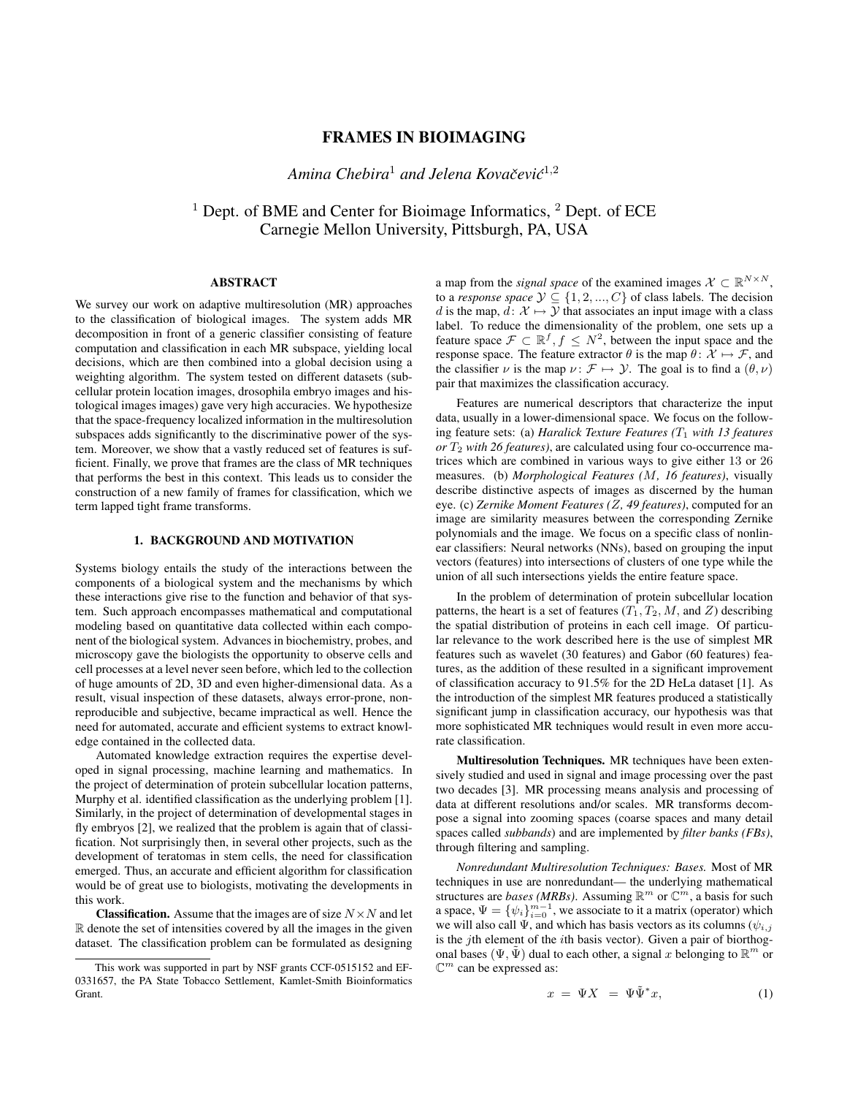# FRAMES IN BIOIMAGING

*Amina Chebira*<sup>1</sup> *and Jelena Kovacevi ˇ c´* 1,2

 $1$  Dept. of BME and Center for Bioimage Informatics,  $2$  Dept. of ECE Carnegie Mellon University, Pittsburgh, PA, USA

# ABSTRACT

We survey our work on adaptive multiresolution (MR) approaches to the classification of biological images. The system adds MR decomposition in front of a generic classifier consisting of feature computation and classification in each MR subspace, yielding local decisions, which are then combined into a global decision using a weighting algorithm. The system tested on different datasets (subcellular protein location images, drosophila embryo images and histological images images) gave very high accuracies. We hypothesize that the space-frequency localized information in the multiresolution subspaces adds significantly to the discriminative power of the system. Moreover, we show that a vastly reduced set of features is sufficient. Finally, we prove that frames are the class of MR techniques that performs the best in this context. This leads us to consider the construction of a new family of frames for classification, which we term lapped tight frame transforms.

### 1. BACKGROUND AND MOTIVATION

Systems biology entails the study of the interactions between the components of a biological system and the mechanisms by which these interactions give rise to the function and behavior of that system. Such approach encompasses mathematical and computational modeling based on quantitative data collected within each component of the biological system. Advances in biochemistry, probes, and microscopy gave the biologists the opportunity to observe cells and cell processes at a level never seen before, which led to the collection of huge amounts of 2D, 3D and even higher-dimensional data. As a result, visual inspection of these datasets, always error-prone, nonreproducible and subjective, became impractical as well. Hence the need for automated, accurate and efficient systems to extract knowledge contained in the collected data.

Automated knowledge extraction requires the expertise developed in signal processing, machine learning and mathematics. In the project of determination of protein subcellular location patterns, Murphy et al. identified classification as the underlying problem [1]. Similarly, in the project of determination of developmental stages in fly embryos [2], we realized that the problem is again that of classification. Not surprisingly then, in several other projects, such as the development of teratomas in stem cells, the need for classification emerged. Thus, an accurate and efficient algorithm for classification would be of great use to biologists, motivating the developments in this work.

**Classification.** Assume that the images are of size  $N \times N$  and let R denote the set of intensities covered by all the images in the given dataset. The classification problem can be formulated as designing

a map from the *signal space* of the examined images  $X \subset \mathbb{R}^{N \times N}$ , to a *response space*  $\mathcal{Y} \subseteq \{1, 2, ..., C\}$  of class labels. The decision d is the map,  $d: \mathcal{X} \mapsto \mathcal{Y}$  that associates an input image with a class label. To reduce the dimensionality of the problem, one sets up a feature space  $\mathcal{F} \subset \mathbb{R}^f, f \leq N^2$ , between the input space and the response space. The feature extractor  $\theta$  is the map  $\theta \colon \mathcal{X} \mapsto \mathcal{F}$ , and the classifier  $\nu$  is the map  $\nu : \mathcal{F} \mapsto \mathcal{Y}$ . The goal is to find a  $(\theta, \nu)$ pair that maximizes the classification accuracy.

Features are numerical descriptors that characterize the input data, usually in a lower-dimensional space. We focus on the following feature sets: (a) *Haralick Texture Features (*T<sup>1</sup> *with 13 features*  $or T<sub>2</sub> with 26 features$ , are calculated using four co-occurrence matrices which are combined in various ways to give either 13 or 26 measures. (b) *Morphological Features (*M*, 16 features)*, visually describe distinctive aspects of images as discerned by the human eye. (c) *Zernike Moment Features (*Z*, 49 features)*, computed for an image are similarity measures between the corresponding Zernike polynomials and the image. We focus on a specific class of nonlinear classifiers: Neural networks (NNs), based on grouping the input vectors (features) into intersections of clusters of one type while the union of all such intersections yields the entire feature space.

In the problem of determination of protein subcellular location patterns, the heart is a set of features  $(T_1, T_2, M, \text{ and } Z)$  describing the spatial distribution of proteins in each cell image. Of particular relevance to the work described here is the use of simplest MR features such as wavelet (30 features) and Gabor (60 features) features, as the addition of these resulted in a significant improvement of classification accuracy to 91.5% for the 2D HeLa dataset [1]. As the introduction of the simplest MR features produced a statistically significant jump in classification accuracy, our hypothesis was that more sophisticated MR techniques would result in even more accurate classification.

Multiresolution Techniques. MR techniques have been extensively studied and used in signal and image processing over the past two decades [3]. MR processing means analysis and processing of data at different resolutions and/or scales. MR transforms decompose a signal into zooming spaces (coarse spaces and many detail spaces called *subbands*) and are implemented by *filter banks (FBs)*, through filtering and sampling.

*Nonredundant Multiresolution Techniques: Bases.* Most of MR techniques in use are nonredundant— the underlying mathematical structures are *bases (MRBs)*. Assuming  $\mathbb{R}^m$  or  $\mathbb{C}^m$ , a basis for such a space,  $\Psi = {\psi_i}_{i=0}^{m-1}$ , we associate to it a matrix (operator) which we will also call  $\Psi$ , and which has basis vectors as its columns ( $\psi_{i,j}$ ) is the *j*th element of the *i*th basis vector). Given a pair of biorthogonal bases  $(\Psi, \tilde{\Psi})$  dual to each other, a signal x belonging to  $\mathbb{R}^m$  or  $\mathbb{C}^m$  can be expressed as:

$$
x = \Psi X = \Psi \tilde{\Psi}^* x, \tag{1}
$$

This work was supported in part by NSF grants CCF-0515152 and EF-0331657, the PA State Tobacco Settlement, Kamlet-Smith Bioinformatics Grant.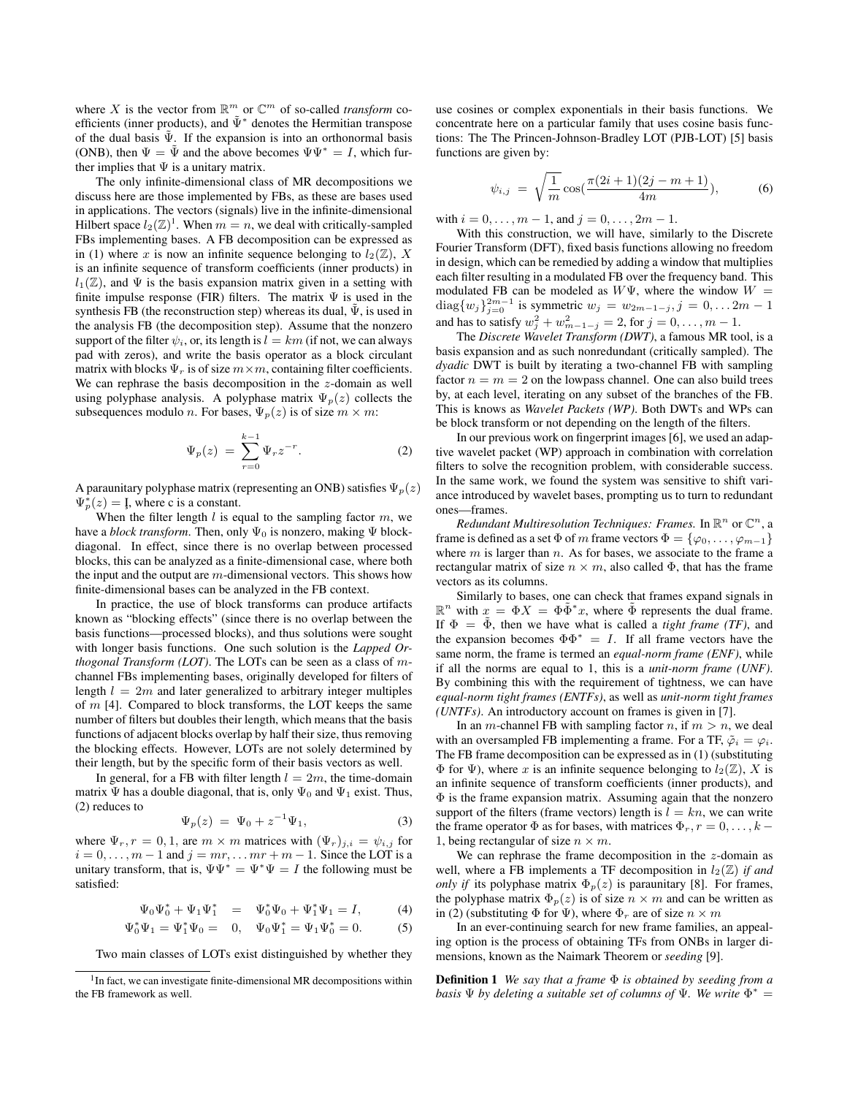where X is the vector from  $\mathbb{R}^m$  or  $\mathbb{C}^m$  of so-called *transform* coefficients (inner products), and  $\tilde{\Psi}^*$  denotes the Hermitian transpose of the dual basis  $\tilde{\Psi}$ . If the expansion is into an orthonormal basis (ONB), then  $\Psi = \tilde{\Psi}$  and the above becomes  $\Psi \Psi^* = I$ , which further implies that  $\Psi$  is a unitary matrix.

The only infinite-dimensional class of MR decompositions we discuss here are those implemented by FBs, as these are bases used in applications. The vectors (signals) live in the infinite-dimensional Hilbert space  $l_2(\mathbb{Z})^1$ . When  $m = n$ , we deal with critically-sampled FBs implementing bases. A FB decomposition can be expressed as in (1) where x is now an infinite sequence belonging to  $l_2(\mathbb{Z})$ , X is an infinite sequence of transform coefficients (inner products) in  $l_1(\mathbb{Z})$ , and  $\Psi$  is the basis expansion matrix given in a setting with finite impulse response (FIR) filters. The matrix  $\Psi$  is used in the synthesis FB (the reconstruction step) whereas its dual,  $\tilde{\Psi}$ , is used in the analysis FB (the decomposition step). Assume that the nonzero support of the filter  $\psi_i$ , or, its length is  $l = km$  (if not, we can always pad with zeros), and write the basis operator as a block circulant matrix with blocks  $\Psi_r$  is of size  $m \times m$ , containing filter coefficients. We can rephrase the basis decomposition in the z-domain as well using polyphase analysis. A polyphase matrix  $\Psi_p(z)$  collects the subsequences modulo *n*. For bases,  $\Psi_p(z)$  is of size  $m \times m$ :

$$
\Psi_p(z) = \sum_{r=0}^{k-1} \Psi_r z^{-r}.
$$
 (2)

A paraunitary polyphase matrix (representing an ONB) satisfies  $\Psi_p(z)$  $\Psi_p^*(z) = \mathbf{I}$ , where c is a constant.

When the filter length  $l$  is equal to the sampling factor  $m$ , we have a *block transform*. Then, only  $\Psi_0$  is nonzero, making Ψ blockdiagonal. In effect, since there is no overlap between processed blocks, this can be analyzed as a finite-dimensional case, where both the input and the output are  $m$ -dimensional vectors. This shows how finite-dimensional bases can be analyzed in the FB context.

In practice, the use of block transforms can produce artifacts known as "blocking effects" (since there is no overlap between the basis functions—processed blocks), and thus solutions were sought with longer basis functions. One such solution is the *Lapped Orthogonal Transform (LOT)*. The LOTs can be seen as a class of mchannel FBs implementing bases, originally developed for filters of length  $l = 2m$  and later generalized to arbitrary integer multiples of  $m$  [4]. Compared to block transforms, the LOT keeps the same number of filters but doubles their length, which means that the basis functions of adjacent blocks overlap by half their size, thus removing the blocking effects. However, LOTs are not solely determined by their length, but by the specific form of their basis vectors as well.

In general, for a FB with filter length  $l = 2m$ , the time-domain matrix  $\Psi$  has a double diagonal, that is, only  $\Psi_0$  and  $\Psi_1$  exist. Thus, (2) reduces to

$$
\Psi_p(z) = \Psi_0 + z^{-1} \Psi_1,\tag{3}
$$

where  $\Psi_r$ ,  $r = 0, 1$ , are  $m \times m$  matrices with  $(\Psi_r)_{i,i} = \psi_{i,j}$  for  $i = 0, \ldots, m - 1$  and  $j = mr, \ldots mr + m - 1$ . Since the LOT is a unitary transform, that is,  $\Psi \Psi^* = \Psi^* \Psi = I$  the following must be satisfied:

$$
\Psi_0 \Psi_0^* + \Psi_1 \Psi_1^* = \Psi_0^* \Psi_0 + \Psi_1^* \Psi_1 = I,
$$
 (4)

$$
\Psi_0^* \Psi_1 = \Psi_1^* \Psi_0 = 0, \quad \Psi_0 \Psi_1^* = \Psi_1 \Psi_0^* = 0. \tag{5}
$$

Two main classes of LOTs exist distinguished by whether they

use cosines or complex exponentials in their basis functions. We concentrate here on a particular family that uses cosine basis functions: The The Princen-Johnson-Bradley LOT (PJB-LOT) [5] basis functions are given by:

$$
\psi_{i,j} = \sqrt{\frac{1}{m}} \cos(\frac{\pi(2i+1)(2j-m+1)}{4m}), \tag{6}
$$

with  $i = 0, \ldots, m - 1$ , and  $j = 0, \ldots, 2m - 1$ .

With this construction, we will have, similarly to the Discrete Fourier Transform (DFT), fixed basis functions allowing no freedom in design, which can be remedied by adding a window that multiplies each filter resulting in a modulated FB over the frequency band. This modulated FB can be modeled as  $W\Psi$ , where the window  $W =$ diag ${w_j}_{j=0}^{2m-1}$  is symmetric  $w_j = w_{2m-1-j}, j = 0, ... 2m-1$ and has to satisfy  $w_j^2 + w_{m-1-j}^2 = 2$ , for  $j = 0, ..., m - 1$ .

The *Discrete Wavelet Transform (DWT)*, a famous MR tool, is a basis expansion and as such nonredundant (critically sampled). The *dyadic* DWT is built by iterating a two-channel FB with sampling factor  $n = m = 2$  on the lowpass channel. One can also build trees by, at each level, iterating on any subset of the branches of the FB. This is knows as *Wavelet Packets (WP)*. Both DWTs and WPs can be block transform or not depending on the length of the filters.

In our previous work on fingerprint images [6], we used an adaptive wavelet packet (WP) approach in combination with correlation filters to solve the recognition problem, with considerable success. In the same work, we found the system was sensitive to shift variance introduced by wavelet bases, prompting us to turn to redundant ones—frames.

Redundant Multiresolution Techniques: Frames. In  $\mathbb{R}^n$  or  $\mathbb{C}^n$ , a frame is defined as a set  $\Phi$  of m frame vectors  $\Phi = {\varphi_0, \ldots, \varphi_{m-1}}$ where  $m$  is larger than  $n$ . As for bases, we associate to the frame a rectangular matrix of size  $n \times m$ , also called  $\Phi$ , that has the frame vectors as its columns.

Similarly to bases, one can check that frames expand signals in  $\mathbb{R}^n$  with  $x = \Phi X = \Phi \tilde{\Phi}^* x$ , where  $\tilde{\Phi}$  represents the dual frame. If  $\Phi = \tilde{\Phi}$ , then we have what is called a *tight frame (TF)*, and the expansion becomes  $\Phi \Phi^* = I$ . If all frame vectors have the same norm, the frame is termed an *equal-norm frame (ENF)*, while if all the norms are equal to 1, this is a *unit-norm frame (UNF)*. By combining this with the requirement of tightness, we can have *equal-norm tight frames (ENTFs)*, as well as *unit-norm tight frames (UNTFs)*. An introductory account on frames is given in [7].

In an m-channel FB with sampling factor n, if  $m > n$ , we deal with an oversampled FB implementing a frame. For a TF,  $\tilde{\varphi}_i = \varphi_i$ . The FB frame decomposition can be expressed as in (1) (substituting  $\Phi$  for  $\Psi$ ), where x is an infinite sequence belonging to  $l_2(\mathbb{Z})$ , X is an infinite sequence of transform coefficients (inner products), and Φ is the frame expansion matrix. Assuming again that the nonzero support of the filters (frame vectors) length is  $l = kn$ , we can write the frame operator  $\Phi$  as for bases, with matrices  $\Phi_r$ ,  $r = 0, \ldots, k - 1$ 1, being rectangular of size  $n \times m$ .

We can rephrase the frame decomposition in the  $z$ -domain as well, where a FB implements a TF decomposition in  $l_2(\mathbb{Z})$  *if and only if* its polyphase matrix  $\Phi_p(z)$  is paraunitary [8]. For frames, the polyphase matrix  $\Phi_p(z)$  is of size  $n \times m$  and can be written as in (2) (substituting  $\Phi$  for  $\Psi$ ), where  $\Phi_r$  are of size  $n \times m$ 

In an ever-continuing search for new frame families, an appealing option is the process of obtaining TFs from ONBs in larger dimensions, known as the Naimark Theorem or *seeding* [9].

Definition 1 *We say that a frame* Φ *is obtained by seeding from a basis*  $\Psi$  *by deleting a suitable set of columns of*  $\Psi$ *. We write*  $\Phi^* =$ 

<sup>&</sup>lt;sup>1</sup>In fact, we can investigate finite-dimensional MR decompositions within the FB framework as well.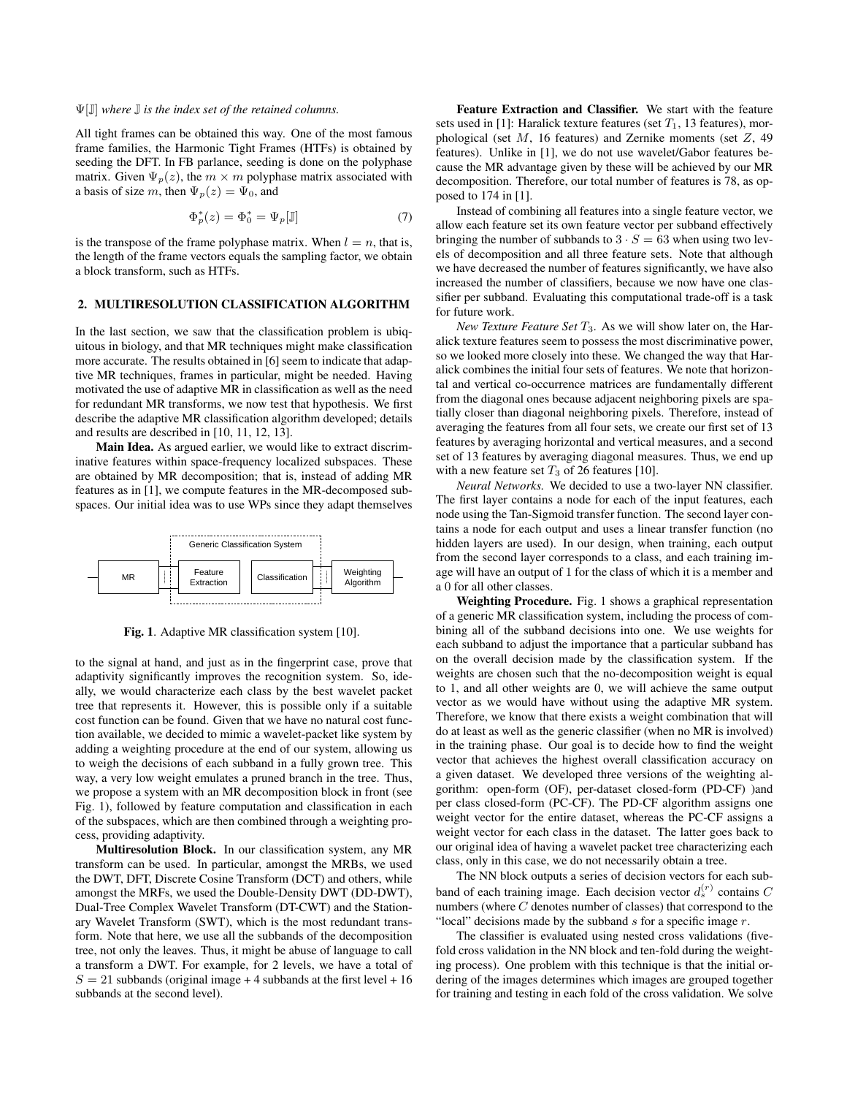#### Ψ[J] *where* J *is the index set of the retained columns.*

All tight frames can be obtained this way. One of the most famous frame families, the Harmonic Tight Frames (HTFs) is obtained by seeding the DFT. In FB parlance, seeding is done on the polyphase matrix. Given  $\Psi_p(z)$ , the  $m \times m$  polyphase matrix associated with a basis of size m, then  $\Psi_p(z) = \Psi_0$ , and

$$
\Phi_p^*(z) = \Phi_0^* = \Psi_p[\mathbb{J}] \tag{7}
$$

is the transpose of the frame polyphase matrix. When  $l = n$ , that is, the length of the frame vectors equals the sampling factor, we obtain a block transform, such as HTFs.

## 2. MULTIRESOLUTION CLASSIFICATION ALGORITHM

In the last section, we saw that the classification problem is ubiquitous in biology, and that MR techniques might make classification more accurate. The results obtained in [6] seem to indicate that adaptive MR techniques, frames in particular, might be needed. Having motivated the use of adaptive MR in classification as well as the need for redundant MR transforms, we now test that hypothesis. We first describe the adaptive MR classification algorithm developed; details and results are described in [10, 11, 12, 13].

Main Idea. As argued earlier, we would like to extract discriminative features within space-frequency localized subspaces. These are obtained by MR decomposition; that is, instead of adding MR features as in [1], we compute features in the MR-decomposed subspaces. Our initial idea was to use WPs since they adapt themselves





to the signal at hand, and just as in the fingerprint case, prove that adaptivity significantly improves the recognition system. So, ideally, we would characterize each class by the best wavelet packet tree that represents it. However, this is possible only if a suitable cost function can be found. Given that we have no natural cost function available, we decided to mimic a wavelet-packet like system by adding a weighting procedure at the end of our system, allowing us to weigh the decisions of each subband in a fully grown tree. This way, a very low weight emulates a pruned branch in the tree. Thus, we propose a system with an MR decomposition block in front (see Fig. 1), followed by feature computation and classification in each of the subspaces, which are then combined through a weighting process, providing adaptivity.

Multiresolution Block. In our classification system, any MR transform can be used. In particular, amongst the MRBs, we used the DWT, DFT, Discrete Cosine Transform (DCT) and others, while amongst the MRFs, we used the Double-Density DWT (DD-DWT), Dual-Tree Complex Wavelet Transform (DT-CWT) and the Stationary Wavelet Transform (SWT), which is the most redundant transform. Note that here, we use all the subbands of the decomposition tree, not only the leaves. Thus, it might be abuse of language to call a transform a DWT. For example, for 2 levels, we have a total of  $S = 21$  subbands (original image + 4 subbands at the first level + 16 subbands at the second level).

Feature Extraction and Classifier. We start with the feature sets used in [1]: Haralick texture features (set  $T_1$ , 13 features), morphological (set  $M$ , 16 features) and Zernike moments (set  $Z$ , 49 features). Unlike in [1], we do not use wavelet/Gabor features because the MR advantage given by these will be achieved by our MR decomposition. Therefore, our total number of features is 78, as opposed to 174 in [1].

Instead of combining all features into a single feature vector, we allow each feature set its own feature vector per subband effectively bringing the number of subbands to  $3 \cdot S = 63$  when using two levels of decomposition and all three feature sets. Note that although we have decreased the number of features significantly, we have also increased the number of classifiers, because we now have one classifier per subband. Evaluating this computational trade-off is a task for future work.

*New Texture Feature Set*  $T_3$ . As we will show later on, the Haralick texture features seem to possess the most discriminative power, so we looked more closely into these. We changed the way that Haralick combines the initial four sets of features. We note that horizontal and vertical co-occurrence matrices are fundamentally different from the diagonal ones because adjacent neighboring pixels are spatially closer than diagonal neighboring pixels. Therefore, instead of averaging the features from all four sets, we create our first set of 13 features by averaging horizontal and vertical measures, and a second set of 13 features by averaging diagonal measures. Thus, we end up with a new feature set  $T_3$  of 26 features [10].

*Neural Networks.* We decided to use a two-layer NN classifier. The first layer contains a node for each of the input features, each node using the Tan-Sigmoid transfer function. The second layer contains a node for each output and uses a linear transfer function (no hidden layers are used). In our design, when training, each output from the second layer corresponds to a class, and each training image will have an output of 1 for the class of which it is a member and a 0 for all other classes.

Weighting Procedure. Fig. 1 shows a graphical representation of a generic MR classification system, including the process of combining all of the subband decisions into one. We use weights for each subband to adjust the importance that a particular subband has on the overall decision made by the classification system. If the weights are chosen such that the no-decomposition weight is equal to 1, and all other weights are 0, we will achieve the same output vector as we would have without using the adaptive MR system. Therefore, we know that there exists a weight combination that will do at least as well as the generic classifier (when no MR is involved) in the training phase. Our goal is to decide how to find the weight vector that achieves the highest overall classification accuracy on a given dataset. We developed three versions of the weighting algorithm: open-form (OF), per-dataset closed-form (PD-CF) )and per class closed-form (PC-CF). The PD-CF algorithm assigns one weight vector for the entire dataset, whereas the PC-CF assigns a weight vector for each class in the dataset. The latter goes back to our original idea of having a wavelet packet tree characterizing each class, only in this case, we do not necessarily obtain a tree.

The NN block outputs a series of decision vectors for each subband of each training image. Each decision vector  $d_s^{(r)}$  contains C numbers (where C denotes number of classes) that correspond to the "local" decisions made by the subband  $s$  for a specific image  $r$ .

The classifier is evaluated using nested cross validations (fivefold cross validation in the NN block and ten-fold during the weighting process). One problem with this technique is that the initial ordering of the images determines which images are grouped together for training and testing in each fold of the cross validation. We solve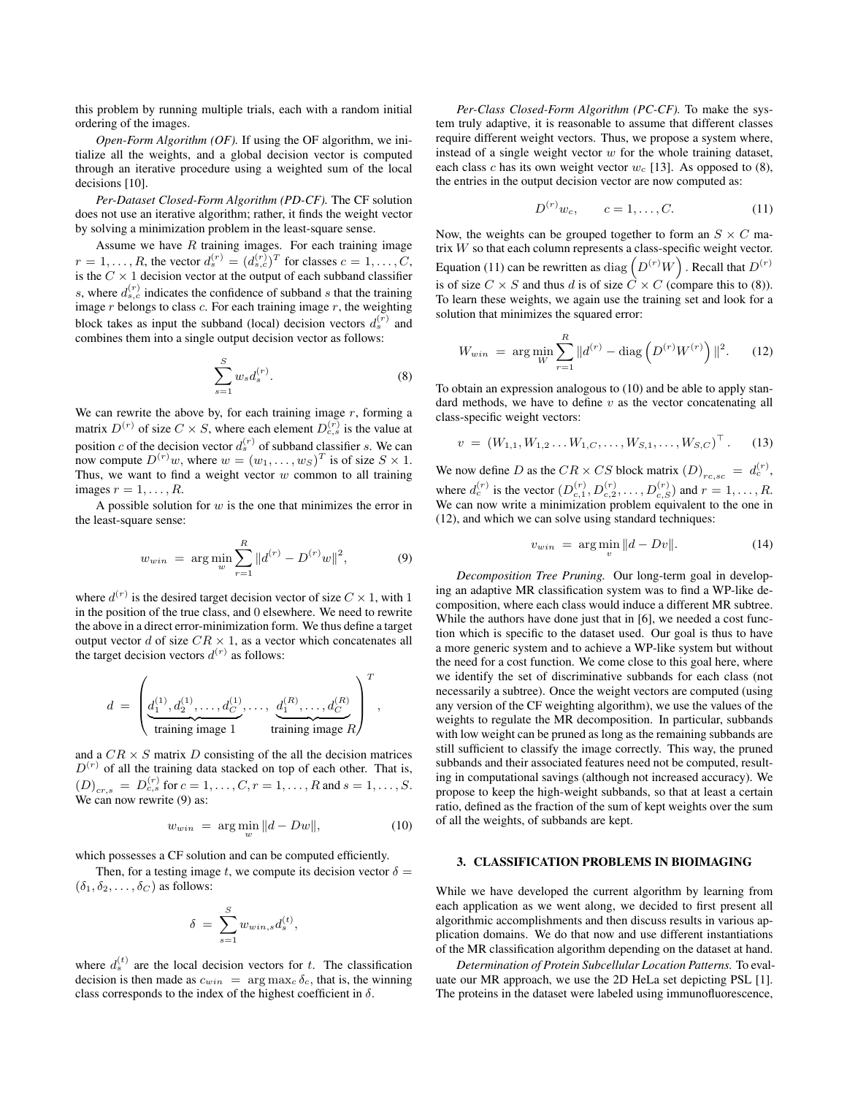this problem by running multiple trials, each with a random initial ordering of the images.

*Open-Form Algorithm (OF).* If using the OF algorithm, we initialize all the weights, and a global decision vector is computed through an iterative procedure using a weighted sum of the local decisions [10].

*Per-Dataset Closed-Form Algorithm (PD-CF).* The CF solution does not use an iterative algorithm; rather, it finds the weight vector by solving a minimization problem in the least-square sense.

Assume we have  $R$  training images. For each training image  $r = 1, \ldots, R$ , the vector  $d_s^{(r)} = (d_{s,c}^{(r)})^T$  for classes  $c = 1, \ldots, C$ , is the  $C \times 1$  decision vector at the output of each subband classifier s, where  $d_{s,c}^{(r)}$  indicates the confidence of subband s that the training image  $r$  belongs to class  $c$ . For each training image  $r$ , the weighting block takes as input the subband (local) decision vectors  $d_s^{(r)}$  and combines them into a single output decision vector as follows:

$$
\sum_{s=1}^{S} w_s d_s^{(r)}.\tag{8}
$$

We can rewrite the above by, for each training image  $r$ , forming a matrix  $D^{(r)}$  of size  $C \times S$ , where each element  $D_{c,s}^{(r)}$  is the value at position c of the decision vector  $d_s^{(r)}$  of subband classifier s. We can now compute  $D^{(r)}w$ , where  $w = (w_1, \ldots, w_S)^T$  is of size  $S \times 1$ . Thus, we want to find a weight vector  $w$  common to all training images  $r = 1, \ldots, R$ .

A possible solution for  $w$  is the one that minimizes the error in the least-square sense:

$$
w_{win} = \arg\min_{w} \sum_{r=1}^{R} ||d^{(r)} - D^{(r)}w||^{2}, \tag{9}
$$

where  $d^{(r)}$  is the desired target decision vector of size  $C \times 1$ , with 1 in the position of the true class, and 0 elsewhere. We need to rewrite the above in a direct error-minimization form. We thus define a target output vector d of size  $CR \times 1$ , as a vector which concatenates all the target decision vectors  $d^{(r)}$  as follows:

$$
d\ =\ \left(\underbrace{d_1^{(1)},d_2^{(1)},\ldots,d_C^{(1)}}_{\text{training image 1}},\ldots,\underbrace{d_1^{(R)},\ldots,d_C^{(R)}}_{\text{training image }R}\right)^T,
$$

and a  $CR \times S$  matrix D consisting of the all the decision matrices  $D^{(r)}$  of all the training data stacked on top of each other. That is,  $(D)_{cr,s} = D_{c,s}^{(r)}$  for  $c = 1, \ldots, C, r = 1, \ldots, R$  and  $s = 1, \ldots, S$ . We can now rewrite (9) as:

$$
w_{win} = \arg\min_{w} ||d - Dw||, \qquad (10)
$$

which possesses a CF solution and can be computed efficiently.

Then, for a testing image t, we compute its decision vector  $\delta =$  $(\delta_1, \delta_2, \ldots, \delta_C)$  as follows:

$$
\delta = \sum_{s=1}^{S} w_{win,s} d_s^{(t)},
$$

where  $d_s^{(t)}$  are the local decision vectors for t. The classification decision is then made as  $c_{win} = \arg \max_c \delta_c$ , that is, the winning class corresponds to the index of the highest coefficient in  $\delta$ .

*Per-Class Closed-Form Algorithm (PC-CF).* To make the system truly adaptive, it is reasonable to assume that different classes require different weight vectors. Thus, we propose a system where, instead of a single weight vector  $w$  for the whole training dataset, each class c has its own weight vector  $w_c$  [13]. As opposed to (8), the entries in the output decision vector are now computed as:

$$
D^{(r)}w_c, \qquad c=1,\ldots,C.
$$
 (11)

Now, the weights can be grouped together to form an  $S \times C$  matrix  $W$  so that each column represents a class-specific weight vector. Equation (11) can be rewritten as  $\text{diag}\left(D^{(r)}W\right)$  . Recall that  $D^{(r)}$ is of size  $C \times S$  and thus d is of size  $\hat{C} \times C$  (compare this to (8)). To learn these weights, we again use the training set and look for a solution that minimizes the squared error:

$$
W_{win} = \arg\min_{W} \sum_{r=1}^{R} \|d^{(r)} - \text{diag}\left(D^{(r)}W^{(r)}\right)\|^2. \tag{12}
$$

To obtain an expression analogous to (10) and be able to apply standard methods, we have to define  $v$  as the vector concatenating all class-specific weight vectors:

$$
v = (W_{1,1}, W_{1,2} \dots W_{1,C}, \dots, W_{S,1}, \dots, W_{S,C})^{\top}.
$$
 (13)

We now define D as the  $CR \times CS$  block matrix  $(D)_{rc,sc} = d_c^{(r)}$ , where  $d_c^{(r)}$  is the vector  $(D_{c,1}^{(r)}, D_{c,2}^{(r)}, \ldots, D_{c,S}^{(r)})$  and  $r = 1, \ldots, R$ . We can now write a minimization problem equivalent to the one in (12), and which we can solve using standard techniques:

$$
v_{win} = \arg\min_{v} ||d - Dv||. \tag{14}
$$

*Decomposition Tree Pruning.* Our long-term goal in developing an adaptive MR classification system was to find a WP-like decomposition, where each class would induce a different MR subtree. While the authors have done just that in [6], we needed a cost function which is specific to the dataset used. Our goal is thus to have a more generic system and to achieve a WP-like system but without the need for a cost function. We come close to this goal here, where we identify the set of discriminative subbands for each class (not necessarily a subtree). Once the weight vectors are computed (using any version of the CF weighting algorithm), we use the values of the weights to regulate the MR decomposition. In particular, subbands with low weight can be pruned as long as the remaining subbands are still sufficient to classify the image correctly. This way, the pruned subbands and their associated features need not be computed, resulting in computational savings (although not increased accuracy). We propose to keep the high-weight subbands, so that at least a certain ratio, defined as the fraction of the sum of kept weights over the sum of all the weights, of subbands are kept.

#### 3. CLASSIFICATION PROBLEMS IN BIOIMAGING

While we have developed the current algorithm by learning from each application as we went along, we decided to first present all algorithmic accomplishments and then discuss results in various application domains. We do that now and use different instantiations of the MR classification algorithm depending on the dataset at hand.

*Determination of Protein Subcellular Location Patterns.* To evaluate our MR approach, we use the 2D HeLa set depicting PSL [1]. The proteins in the dataset were labeled using immunofluorescence,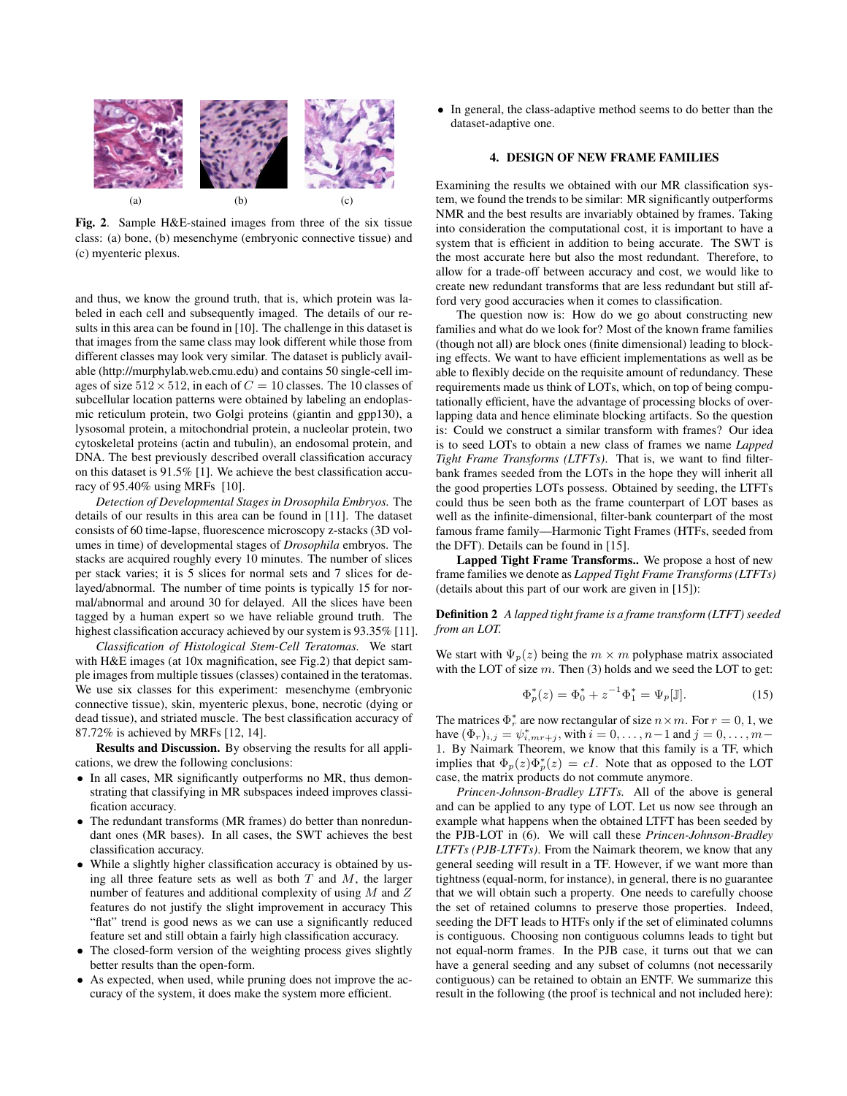

Fig. 2. Sample H&E-stained images from three of the six tissue class: (a) bone, (b) mesenchyme (embryonic connective tissue) and (c) myenteric plexus.

and thus, we know the ground truth, that is, which protein was labeled in each cell and subsequently imaged. The details of our results in this area can be found in [10]. The challenge in this dataset is that images from the same class may look different while those from different classes may look very similar. The dataset is publicly available (http://murphylab.web.cmu.edu) and contains 50 single-cell images of size  $512 \times 512$ , in each of  $C = 10$  classes. The 10 classes of subcellular location patterns were obtained by labeling an endoplasmic reticulum protein, two Golgi proteins (giantin and gpp130), a lysosomal protein, a mitochondrial protein, a nucleolar protein, two cytoskeletal proteins (actin and tubulin), an endosomal protein, and DNA. The best previously described overall classification accuracy on this dataset is 91.5% [1]. We achieve the best classification accuracy of 95.40% using MRFs [10].

*Detection of Developmental Stages in Drosophila Embryos.* The details of our results in this area can be found in [11]. The dataset consists of 60 time-lapse, fluorescence microscopy z-stacks (3D volumes in time) of developmental stages of *Drosophila* embryos. The stacks are acquired roughly every 10 minutes. The number of slices per stack varies; it is 5 slices for normal sets and 7 slices for delayed/abnormal. The number of time points is typically 15 for normal/abnormal and around 30 for delayed. All the slices have been tagged by a human expert so we have reliable ground truth. The highest classification accuracy achieved by our system is 93.35% [11].

*Classification of Histological Stem-Cell Teratomas.* We start with H&E images (at 10x magnification, see Fig.2) that depict sample images from multiple tissues (classes) contained in the teratomas. We use six classes for this experiment: mesenchyme (embryonic connective tissue), skin, myenteric plexus, bone, necrotic (dying or dead tissue), and striated muscle. The best classification accuracy of 87.72% is achieved by MRFs [12, 14].

Results and Discussion. By observing the results for all applications, we drew the following conclusions:

- In all cases, MR significantly outperforms no MR, thus demonstrating that classifying in MR subspaces indeed improves classification accuracy.
- The redundant transforms (MR frames) do better than nonredundant ones (MR bases). In all cases, the SWT achieves the best classification accuracy.
- While a slightly higher classification accuracy is obtained by using all three feature sets as well as both  $T$  and  $M$ , the larger number of features and additional complexity of using  $M$  and  $Z$ features do not justify the slight improvement in accuracy This "flat" trend is good news as we can use a significantly reduced feature set and still obtain a fairly high classification accuracy.
- The closed-form version of the weighting process gives slightly better results than the open-form.
- As expected, when used, while pruning does not improve the accuracy of the system, it does make the system more efficient.

• In general, the class-adaptive method seems to do better than the dataset-adaptive one.

## 4. DESIGN OF NEW FRAME FAMILIES

Examining the results we obtained with our MR classification system, we found the trends to be similar: MR significantly outperforms NMR and the best results are invariably obtained by frames. Taking into consideration the computational cost, it is important to have a system that is efficient in addition to being accurate. The SWT is the most accurate here but also the most redundant. Therefore, to allow for a trade-off between accuracy and cost, we would like to create new redundant transforms that are less redundant but still afford very good accuracies when it comes to classification.

The question now is: How do we go about constructing new families and what do we look for? Most of the known frame families (though not all) are block ones (finite dimensional) leading to blocking effects. We want to have efficient implementations as well as be able to flexibly decide on the requisite amount of redundancy. These requirements made us think of LOTs, which, on top of being computationally efficient, have the advantage of processing blocks of overlapping data and hence eliminate blocking artifacts. So the question is: Could we construct a similar transform with frames? Our idea is to seed LOTs to obtain a new class of frames we name *Lapped Tight Frame Transforms (LTFTs)*. That is, we want to find filterbank frames seeded from the LOTs in the hope they will inherit all the good properties LOTs possess. Obtained by seeding, the LTFTs could thus be seen both as the frame counterpart of LOT bases as well as the infinite-dimensional, filter-bank counterpart of the most famous frame family—Harmonic Tight Frames (HTFs, seeded from the DFT). Details can be found in [15].

Lapped Tight Frame Transforms.. We propose a host of new frame families we denote as *Lapped Tight Frame Transforms (LTFTs)* (details about this part of our work are given in [15]):

Definition 2 *A lapped tight frame is a frame transform (LTFT) seeded from an LOT.*

We start with  $\Psi_p(z)$  being the  $m \times m$  polyphase matrix associated with the LOT of size  $m$ . Then (3) holds and we seed the LOT to get:

$$
\Phi_p^*(z) = \Phi_0^* + z^{-1} \Phi_1^* = \Psi_p[\mathbb{J}].\tag{15}
$$

The matrices  $\Phi_r^*$  are now rectangular of size  $n \times m$ . For  $r = 0, 1$ , we have  $(\Phi_r)_{i,j} = \psi^*_{i,mr+j}$ , with  $i = 0, ..., n-1$  and  $j = 0, ..., m-1$ 1. By Naimark Theorem, we know that this family is a TF, which implies that  $\Phi_p(z)\Phi_p^*(z) = cI$ . Note that as opposed to the LOT case, the matrix products do not commute anymore.

*Princen-Johnson-Bradley LTFTs.* All of the above is general and can be applied to any type of LOT. Let us now see through an example what happens when the obtained LTFT has been seeded by the PJB-LOT in (6). We will call these *Princen-Johnson-Bradley LTFTs (PJB-LTFTs)*. From the Naimark theorem, we know that any general seeding will result in a TF. However, if we want more than tightness (equal-norm, for instance), in general, there is no guarantee that we will obtain such a property. One needs to carefully choose the set of retained columns to preserve those properties. Indeed, seeding the DFT leads to HTFs only if the set of eliminated columns is contiguous. Choosing non contiguous columns leads to tight but not equal-norm frames. In the PJB case, it turns out that we can have a general seeding and any subset of columns (not necessarily contiguous) can be retained to obtain an ENTF. We summarize this result in the following (the proof is technical and not included here):